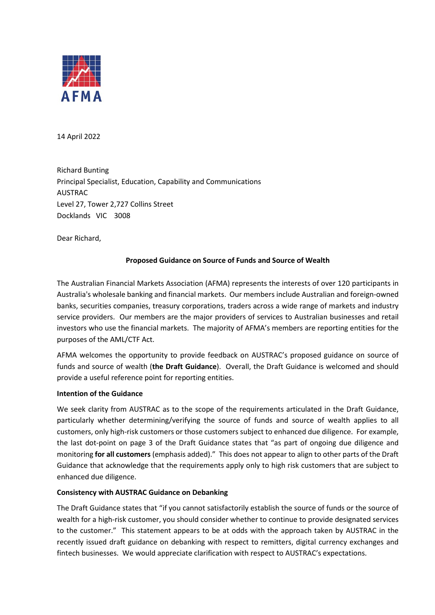

14 April 2022

Richard Bunting Principal Specialist, Education, Capability and Communications AUSTRAC Level 27, Tower 2,727 Collins Street Docklands VIC 3008

Dear Richard,

# **Proposed Guidance on Source of Funds and Source of Wealth**

The Australian Financial Markets Association (AFMA) represents the interests of over 120 participants in Australia's wholesale banking and financial markets. Our members include Australian and foreign-owned banks, securities companies, treasury corporations, traders across a wide range of markets and industry service providers. Our members are the major providers of services to Australian businesses and retail investors who use the financial markets. The majority of AFMA's members are reporting entities for the purposes of the AML/CTF Act.

AFMA welcomes the opportunity to provide feedback on AUSTRAC's proposed guidance on source of funds and source of wealth (**the Draft Guidance**). Overall, the Draft Guidance is welcomed and should provide a useful reference point for reporting entities.

# **Intention of the Guidance**

We seek clarity from AUSTRAC as to the scope of the requirements articulated in the Draft Guidance, particularly whether determining/verifying the source of funds and source of wealth applies to all customers, only high-risk customers or those customers subject to enhanced due diligence. For example, the last dot-point on page 3 of the Draft Guidance states that "as part of ongoing due diligence and monitoring **for all customers** (emphasis added)." This does not appear to align to other parts of the Draft Guidance that acknowledge that the requirements apply only to high risk customers that are subject to enhanced due diligence.

#### **Consistency with AUSTRAC Guidance on Debanking**

The Draft Guidance states that "if you cannot satisfactorily establish the source of funds or the source of wealth for a high-risk customer, you should consider whether to continue to provide designated services to the customer." This statement appears to be at odds with the approach taken by AUSTRAC in the recently issued draft guidance on debanking with respect to remitters, digital currency exchanges and fintech businesses. We would appreciate clarification with respect to AUSTRAC's expectations.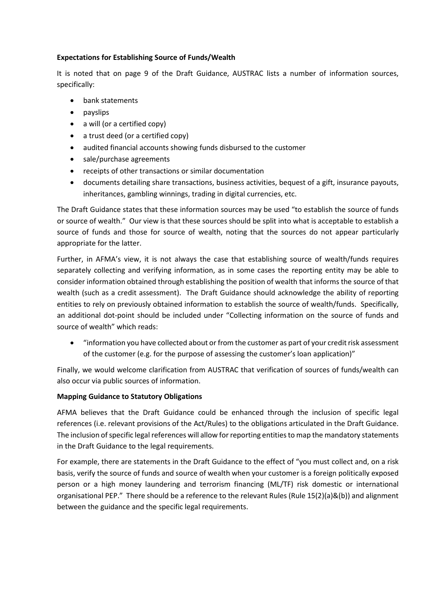# **Expectations for Establishing Source of Funds/Wealth**

It is noted that on page 9 of the Draft Guidance, AUSTRAC lists a number of information sources, specifically:

- bank statements
- payslips
- a will (or a certified copy)
- a trust deed (or a certified copy)
- audited financial accounts showing funds disbursed to the customer
- sale/purchase agreements
- receipts of other transactions or similar documentation
- documents detailing share transactions, business activities, bequest of a gift, insurance payouts, inheritances, gambling winnings, trading in digital currencies, etc.

The Draft Guidance states that these information sources may be used "to establish the source of funds or source of wealth." Our view is that these sources should be split into what is acceptable to establish a source of funds and those for source of wealth, noting that the sources do not appear particularly appropriate for the latter.

Further, in AFMA's view, it is not always the case that establishing source of wealth/funds requires separately collecting and verifying information, as in some cases the reporting entity may be able to consider information obtained through establishing the position of wealth that informs the source of that wealth (such as a credit assessment). The Draft Guidance should acknowledge the ability of reporting entities to rely on previously obtained information to establish the source of wealth/funds. Specifically, an additional dot-point should be included under "Collecting information on the source of funds and source of wealth" which reads:

• "information you have collected about or from the customer as part of your credit risk assessment of the customer (e.g. for the purpose of assessing the customer's loan application)"

Finally, we would welcome clarification from AUSTRAC that verification of sources of funds/wealth can also occur via public sources of information.

# **Mapping Guidance to Statutory Obligations**

AFMA believes that the Draft Guidance could be enhanced through the inclusion of specific legal references (i.e. relevant provisions of the Act/Rules) to the obligations articulated in the Draft Guidance. The inclusion of specific legal references will allow for reporting entities to map the mandatory statements in the Draft Guidance to the legal requirements.

For example, there are statements in the Draft Guidance to the effect of "you must collect and, on a risk basis, verify the source of funds and source of wealth when your customer is a foreign politically exposed person or a high money laundering and terrorism financing (ML/TF) risk domestic or international organisational PEP." There should be a reference to the relevant Rules (Rule 15(2)(a)&(b)) and alignment between the guidance and the specific legal requirements.